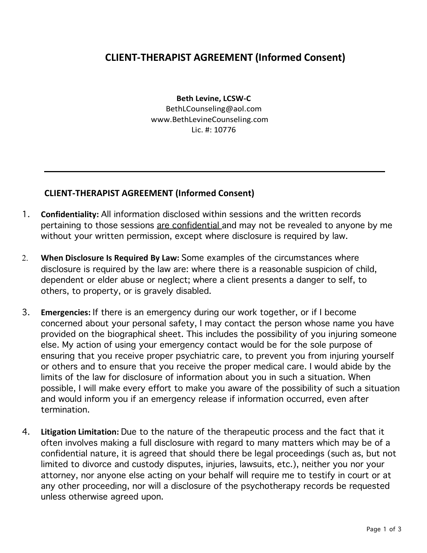## **CLIENT-THERAPIST AGREEMENT (Informed Consent)**

**Beth Levine, LCSW-C** BethLCounseling@aol.com www.BethLevineCounseling.com Lic. #: 10776

## **CLIENT-THERAPIST AGREEMENT (Informed Consent)**

- 1. **Confidentiality:** All information disclosed within sessions and the written records pertaining to those sessions are confidential and may not be revealed to anyone by me without your written permission, except where disclosure is required by law.
- 2. **When Disclosure Is Required By Law:** Some examples of the circumstances where disclosure is required by the law are: where there is a reasonable suspicion of child, dependent or elder abuse or neglect; where a client presents a danger to self, to others, to property, or is gravely disabled.
- 3. **Emergencies:** If there is an emergency during our work together, or if I become concerned about your personal safety, I may contact the person whose name you have provided on the biographical sheet. This includes the possibility of you injuring someone else. My action of using your emergency contact would be for the sole purpose of ensuring that you receive proper psychiatric care, to prevent you from injuring yourself or others and to ensure that you receive the proper medical care. I would abide by the limits of the law for disclosure of information about you in such a situation. When possible, I will make every effort to make you aware of the possibility of such a situation and would inform you if an emergency release if information occurred, even after termination.
- 4. **Litigation Limitation:** Due to the nature of the therapeutic process and the fact that it often involves making a full disclosure with regard to many matters which may be of a confidential nature, it is agreed that should there be legal proceedings (such as, but not limited to divorce and custody disputes, injuries, lawsuits, etc.), neither you nor your attorney, nor anyone else acting on your behalf will require me to testify in court or at any other proceeding, nor will a disclosure of the psychotherapy records be requested unless otherwise agreed upon.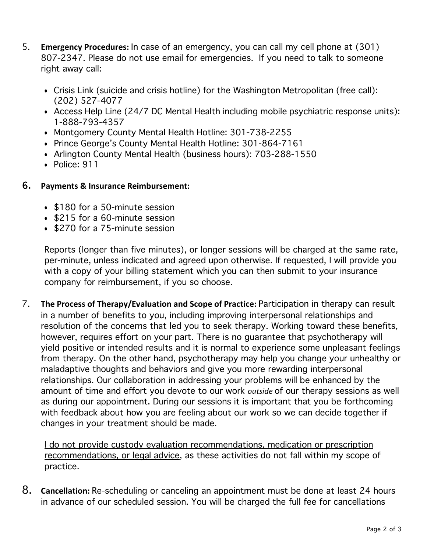- 5. **Emergency Procedures:** In case of an emergency, you can call my cell phone at (301) 807-2347. Please do not use email for emergencies. If you need to talk to someone right away call:
	- Crisis Link (suicide and crisis hotline) for the Washington Metropolitan (free call): (202) 527-4077
	- Access Help Line (24/7 DC Mental Health including mobile psychiatric response units): 1-888-793-4357
	- Montgomery County Mental Health Hotline: 301-738-2255
	- Prince George's County Mental Health Hotline: 301-864-7161
	- Arlington County Mental Health (business hours): 703-288-1550
	- Police: 911

## 6. **Payments & Insurance Reimbursement:**

- \$180 for a 50-minute session
- \$215 for a 60-minute session
- \$270 for a 75-minute session

Reports (longer than five minutes), or longer sessions will be charged at the same rate, per-minute, unless indicated and agreed upon otherwise. If requested, I will provide you with a copy of your billing statement which you can then submit to your insurance company for reimbursement, if you so choose.

7. **The Process of Therapy/Evaluation and Scope of Practice:** Participation in therapy can result in a number of benefits to you, including improving interpersonal relationships and resolution of the concerns that led you to seek therapy. Working toward these benefits, however, requires effort on your part. There is no guarantee that psychotherapy will yield positive or intended results and it is normal to experience some unpleasant feelings from therapy. On the other hand, psychotherapy may help you change your unhealthy or maladaptive thoughts and behaviors and give you more rewarding interpersonal relationships. Our collaboration in addressing your problems will be enhanced by the amount of time and effort you devote to our work *outside* of our therapy sessions as well as during our appointment. During our sessions it is important that you be forthcoming with feedback about how you are feeling about our work so we can decide together if changes in your treatment should be made.

I do not provide custody evaluation recommendations, medication or prescription recommendations, or legal advice, as these activities do not fall within my scope of practice.

8. **Cancellation:** Re-scheduling or canceling an appointment must be done at least 24 hours in advance of our scheduled session. You will be charged the full fee for cancellations